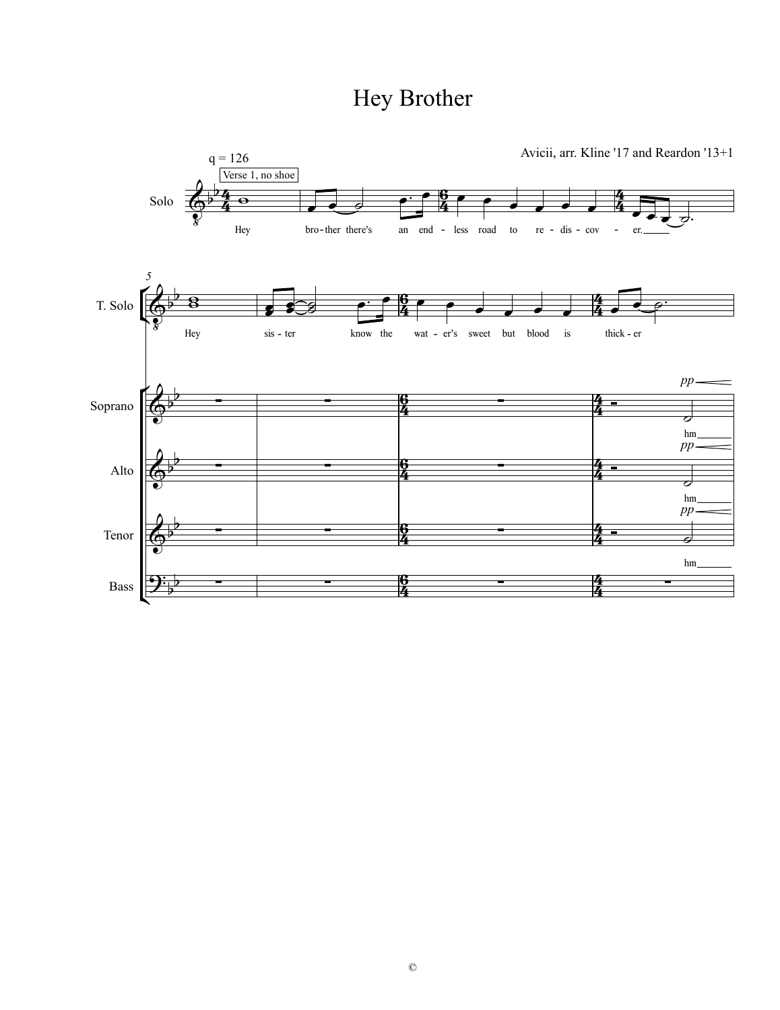## Hey Brother

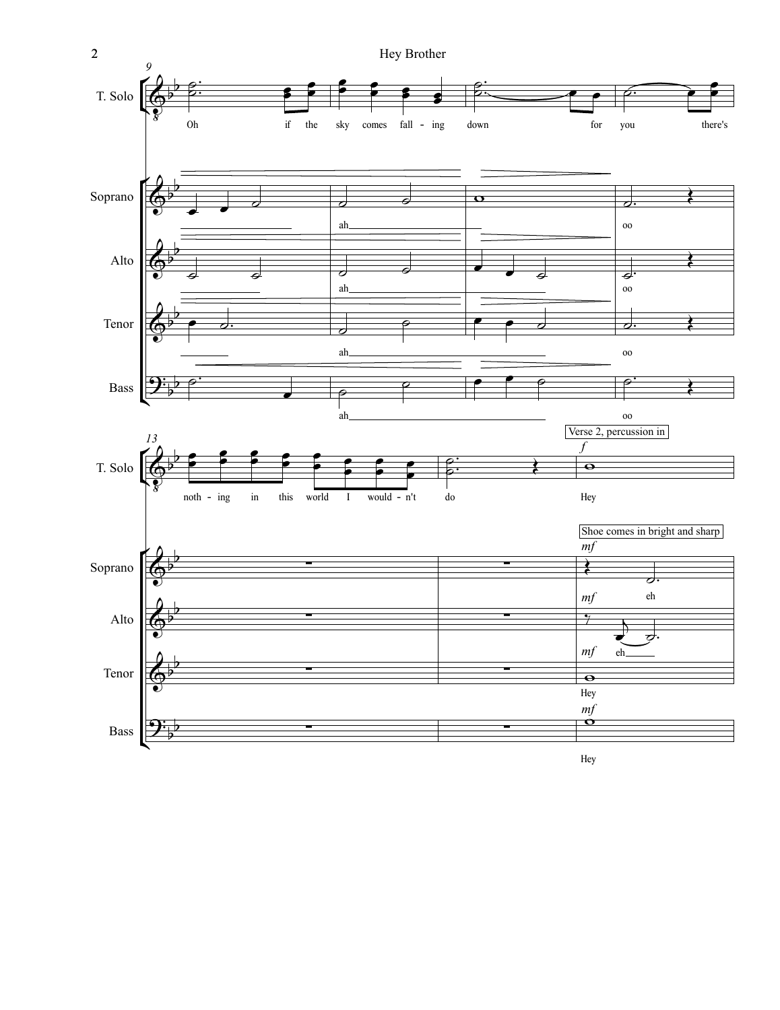

Hey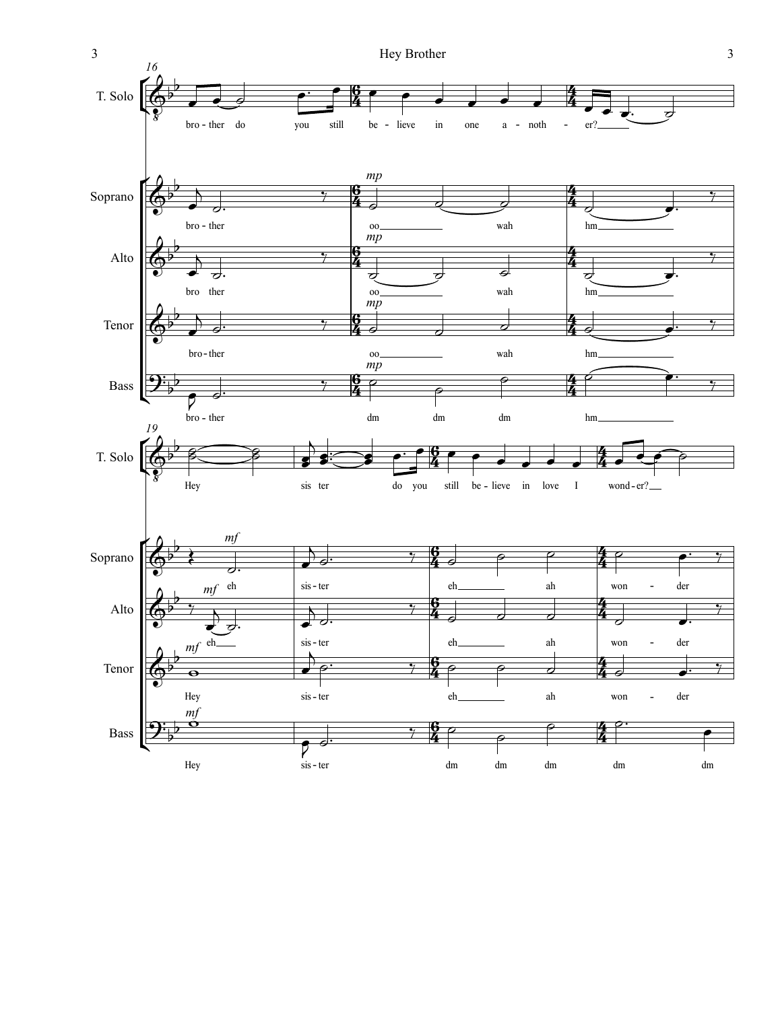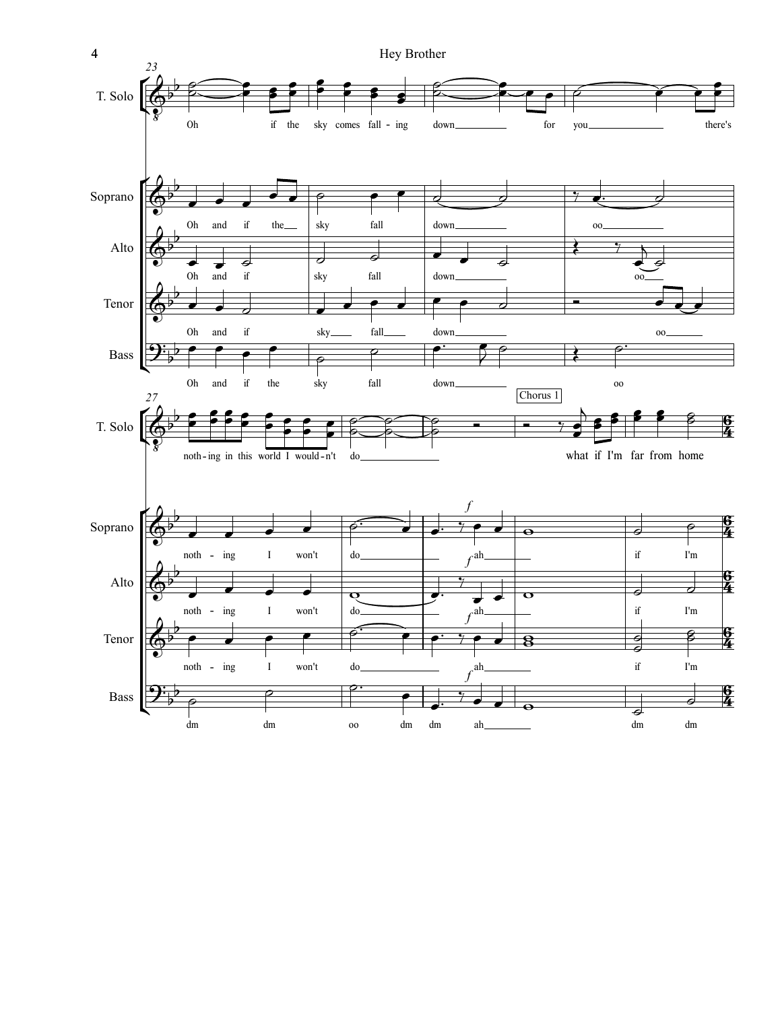

dm dm oo dm dm ah

dm dm

Hey Brother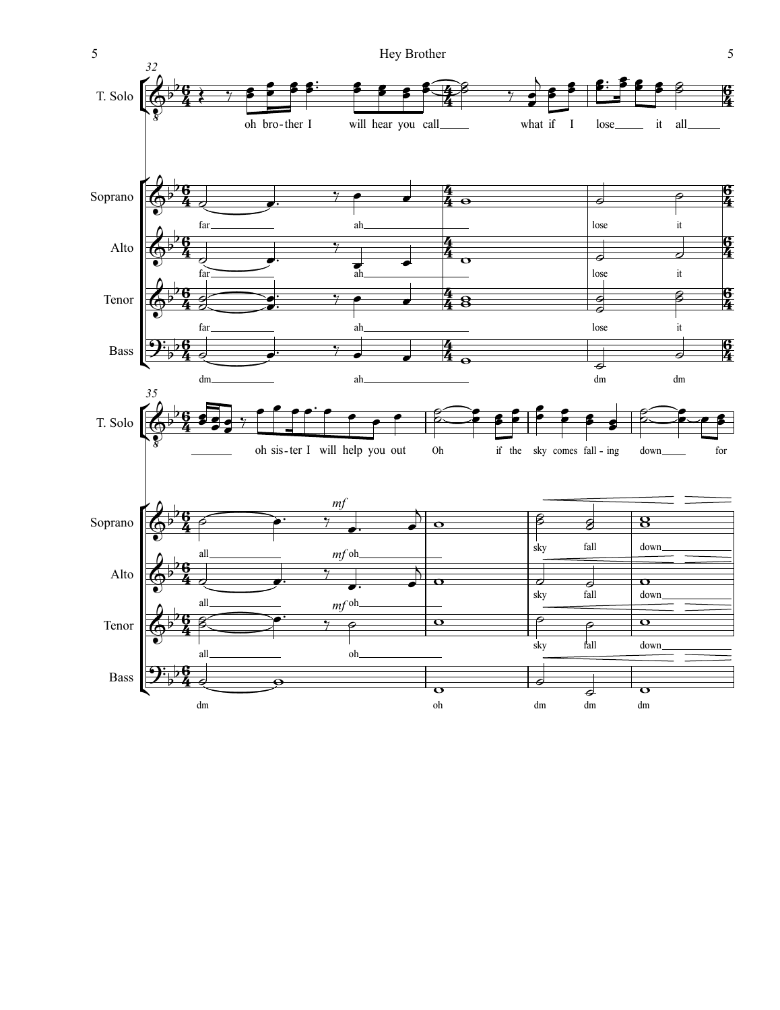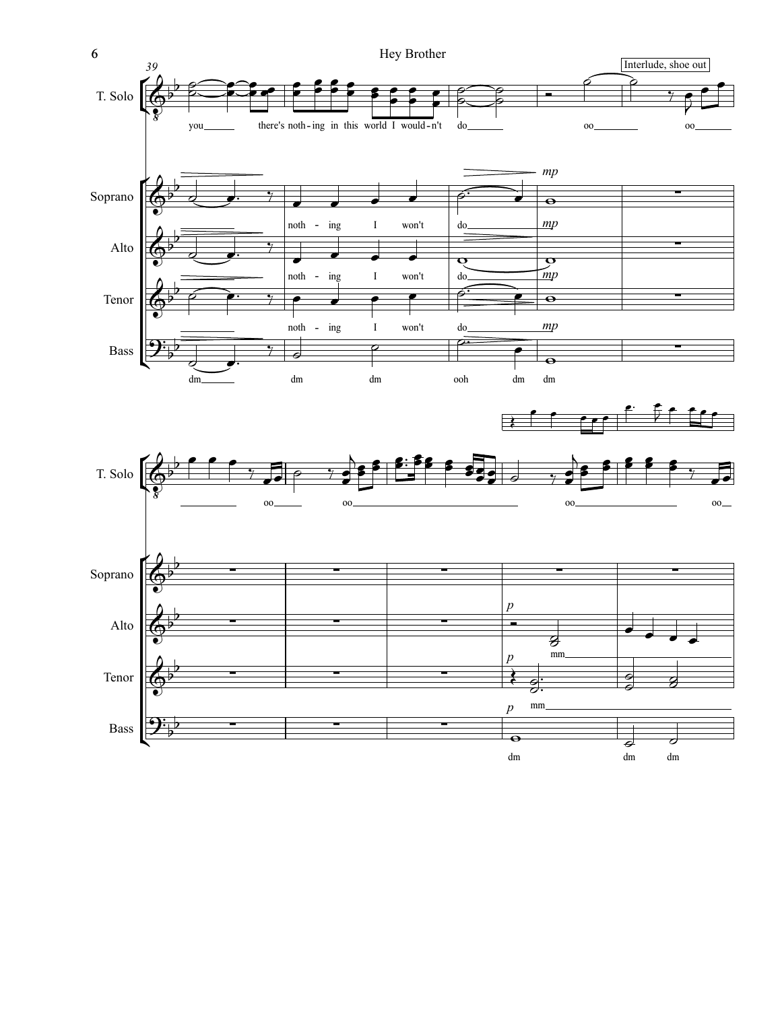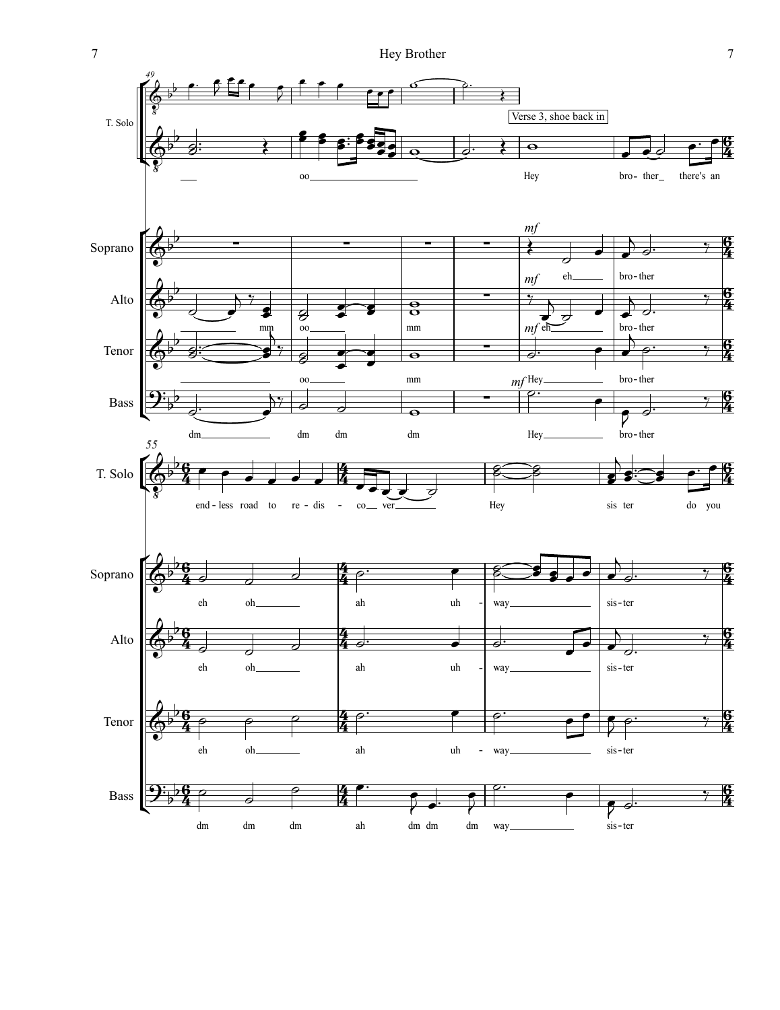

7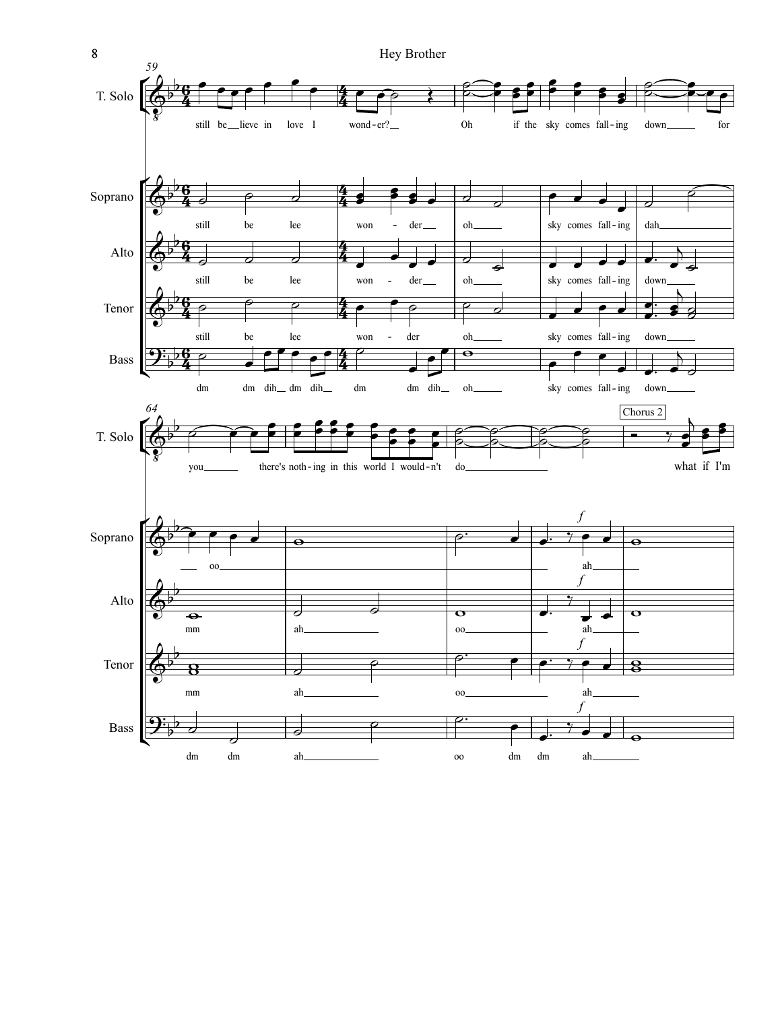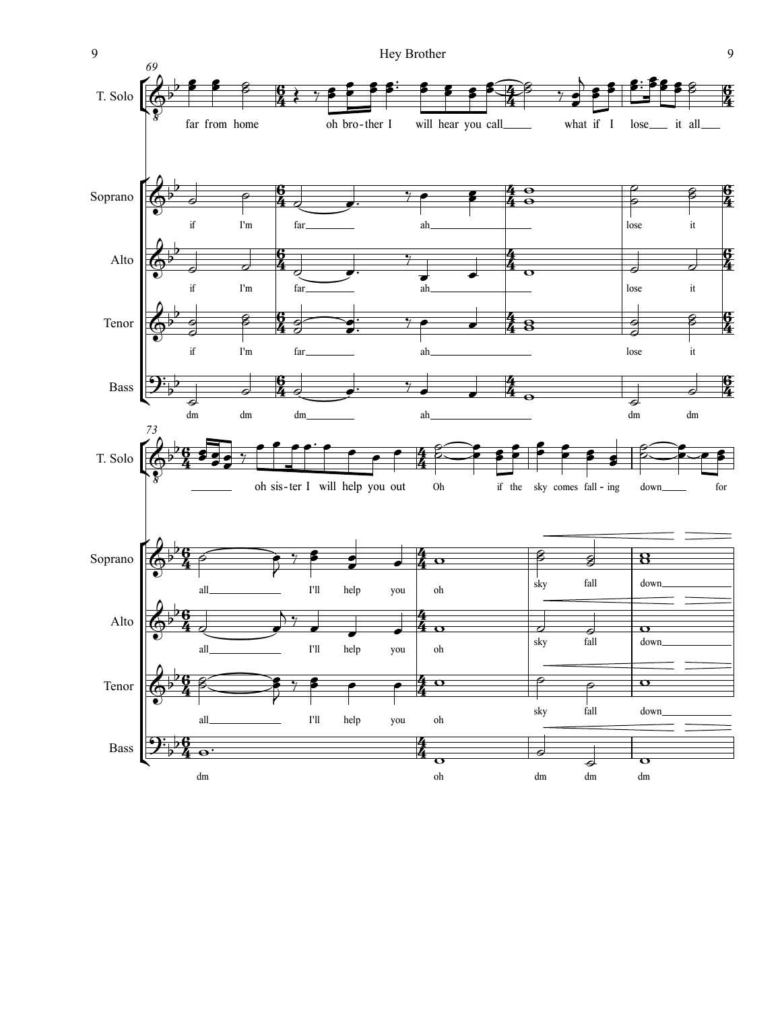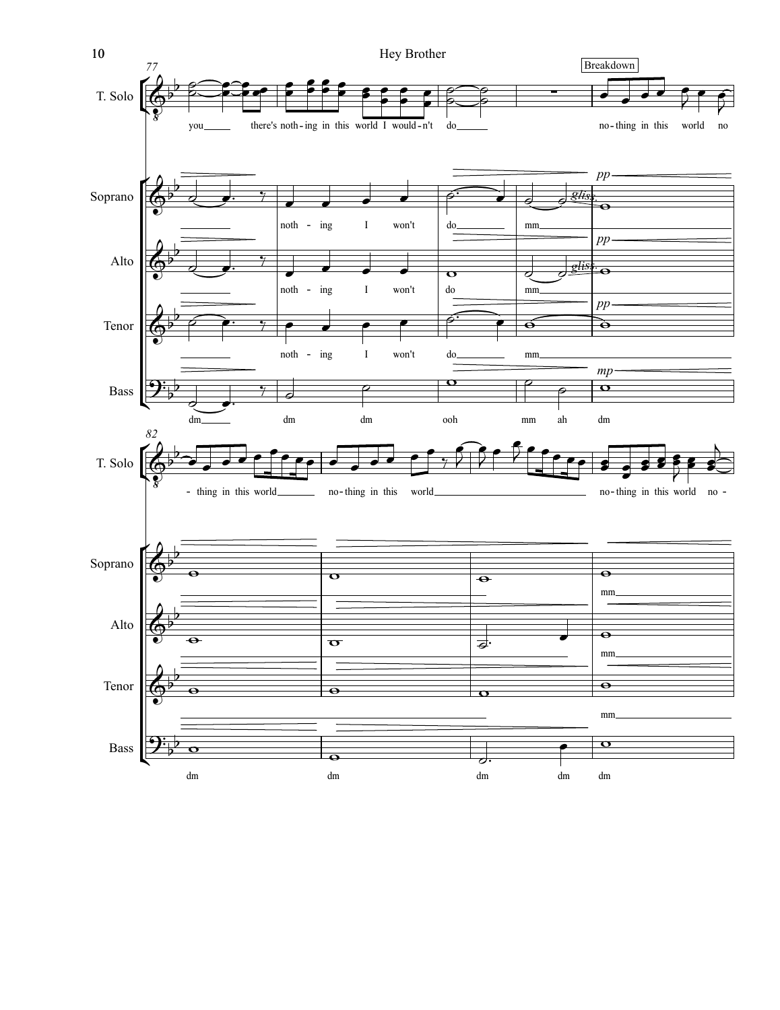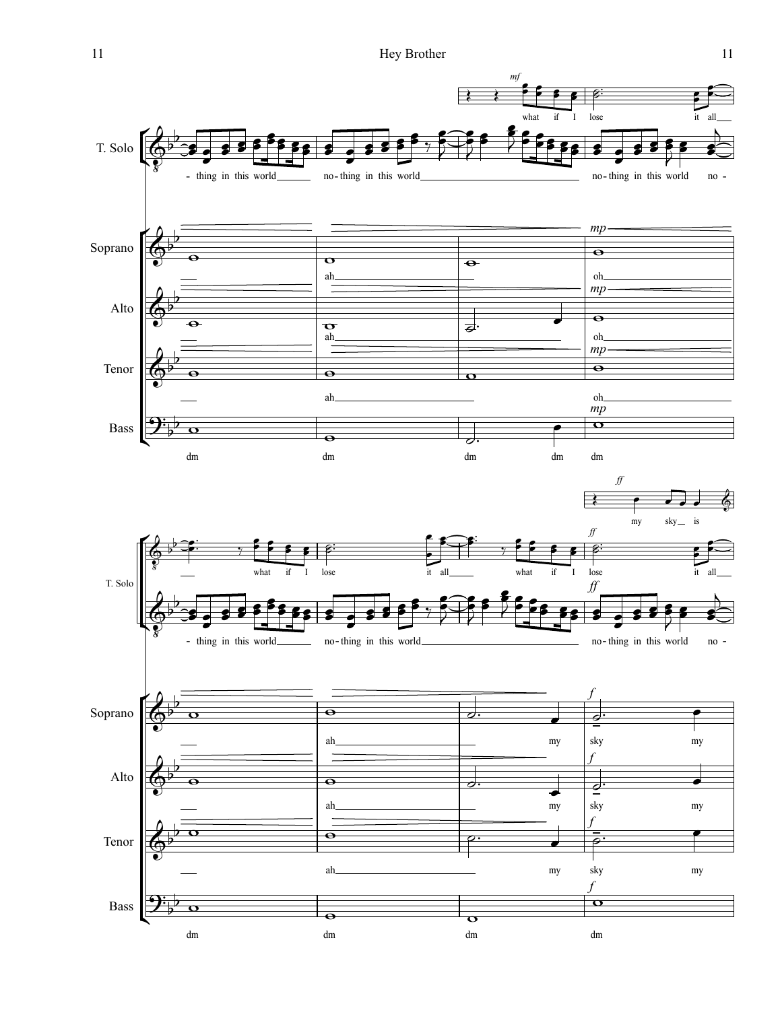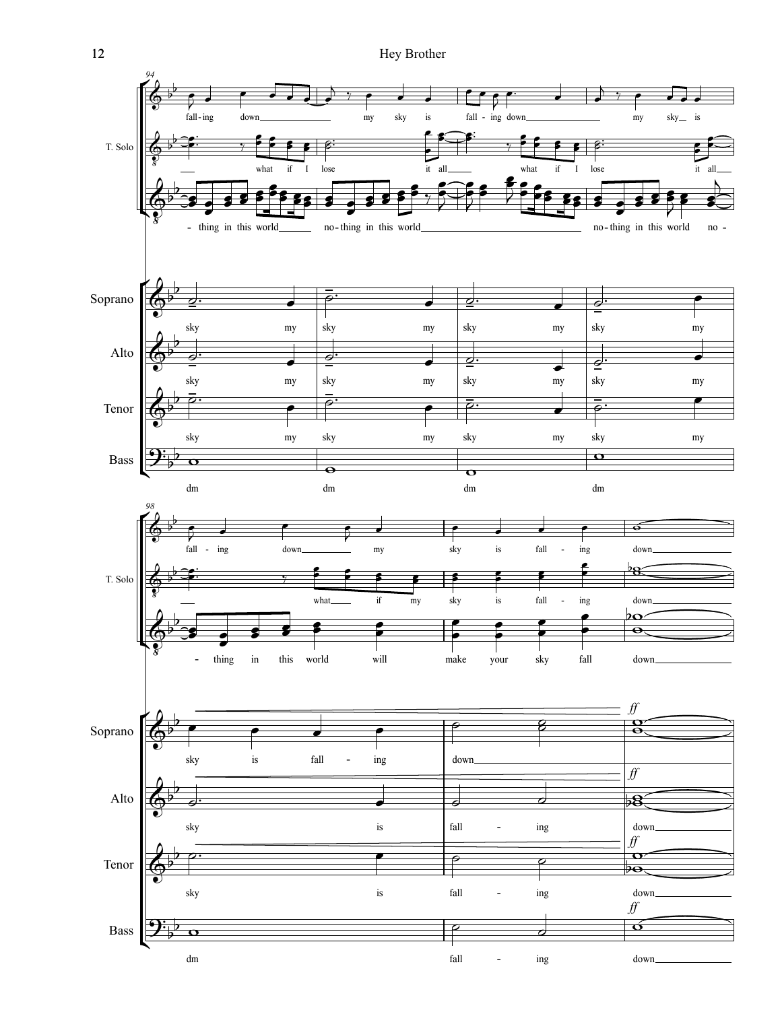